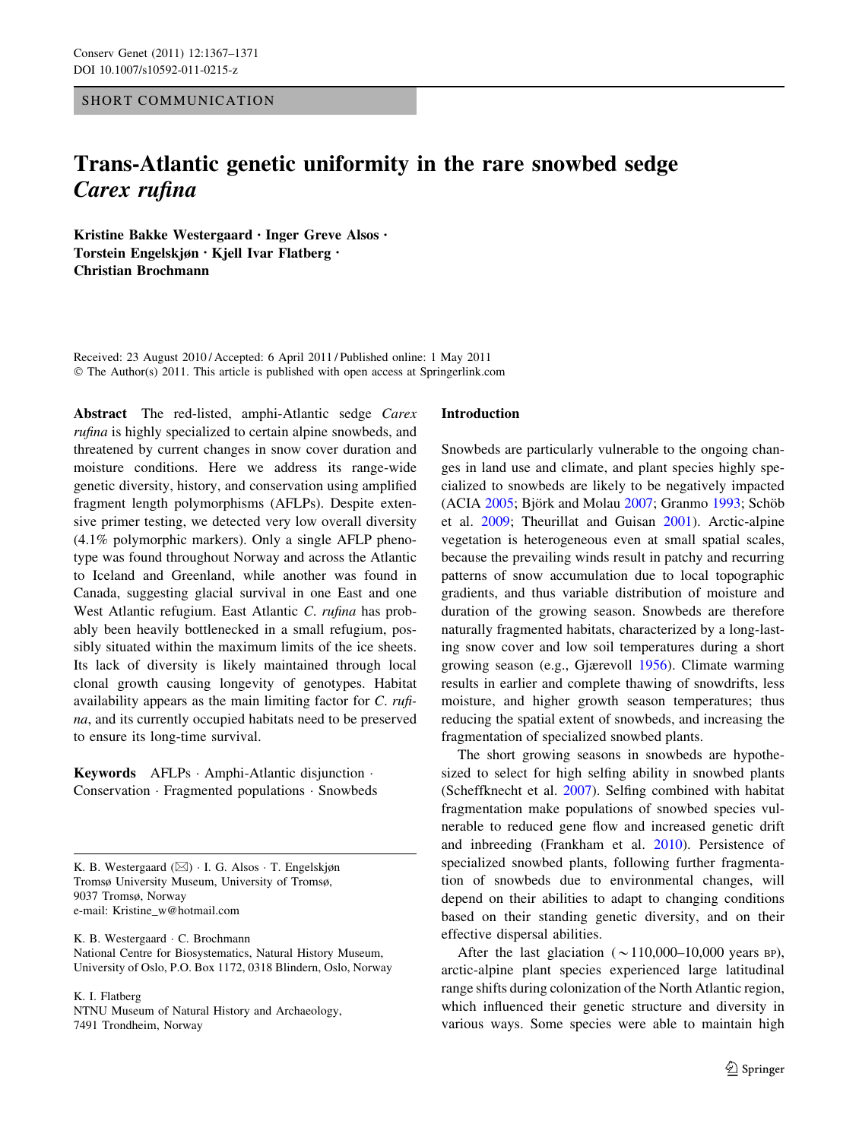# SHORT COMMUNICATION

# Trans-Atlantic genetic uniformity in the rare snowbed sedge Carex rufina

Kristine Bakke Westergaard • Inger Greve Alsos • Torstein Engelskjøn • Kjell Ivar Flatberg • Christian Brochmann

Received: 23 August 2010 / Accepted: 6 April 2011 / Published online: 1 May 2011 © The Author(s) 2011. This article is published with open access at Springerlink.com

Abstract The red-listed, amphi-Atlantic sedge Carex rufina is highly specialized to certain alpine snowbeds, and threatened by current changes in snow cover duration and moisture conditions. Here we address its range-wide genetic diversity, history, and conservation using amplified fragment length polymorphisms (AFLPs). Despite extensive primer testing, we detected very low overall diversity (4.1% polymorphic markers). Only a single AFLP phenotype was found throughout Norway and across the Atlantic to Iceland and Greenland, while another was found in Canada, suggesting glacial survival in one East and one West Atlantic refugium. East Atlantic C. rufina has probably been heavily bottlenecked in a small refugium, possibly situated within the maximum limits of the ice sheets. Its lack of diversity is likely maintained through local clonal growth causing longevity of genotypes. Habitat availability appears as the main limiting factor for C. rufina, and its currently occupied habitats need to be preserved to ensure its long-time survival.

Keywords AFLPs - Amphi-Atlantic disjunction - Conservation - Fragmented populations - Snowbeds

K. B. Westergaard (⊠) · I. G. Alsos · T. Engelskjøn Tromsø University Museum, University of Tromsø, 9037 Tromsø, Norway e-mail: Kristine\_w@hotmail.com

K. B. Westergaard - C. Brochmann National Centre for Biosystematics, Natural History Museum, University of Oslo, P.O. Box 1172, 0318 Blindern, Oslo, Norway

K. I. Flatberg

NTNU Museum of Natural History and Archaeology, 7491 Trondheim, Norway

#### Introduction

Snowbeds are particularly vulnerable to the ongoing changes in land use and climate, and plant species highly specialized to snowbeds are likely to be negatively impacted  $(ACIA 2005; Björk and Molau 2007; Grammo 1993; Schöb)$  $(ACIA 2005; Björk and Molau 2007; Grammo 1993; Schöb)$  $(ACIA 2005; Björk and Molau 2007; Grammo 1993; Schöb)$  $(ACIA 2005; Björk and Molau 2007; Grammo 1993; Schöb)$  $(ACIA 2005; Björk and Molau 2007; Grammo 1993; Schöb)$  $(ACIA 2005; Björk and Molau 2007; Grammo 1993; Schöb)$  $(ACIA 2005; Björk and Molau 2007; Grammo 1993; Schöb)$ et al. [2009;](#page-4-0) Theurillat and Guisan [2001](#page-4-0)). Arctic-alpine vegetation is heterogeneous even at small spatial scales, because the prevailing winds result in patchy and recurring patterns of snow accumulation due to local topographic gradients, and thus variable distribution of moisture and duration of the growing season. Snowbeds are therefore naturally fragmented habitats, characterized by a long-lasting snow cover and low soil temperatures during a short growing season (e.g., Gjærevoll [1956\)](#page-4-0). Climate warming results in earlier and complete thawing of snowdrifts, less moisture, and higher growth season temperatures; thus reducing the spatial extent of snowbeds, and increasing the fragmentation of specialized snowbed plants.

The short growing seasons in snowbeds are hypothesized to select for high selfing ability in snowbed plants (Scheffknecht et al. [2007\)](#page-4-0). Selfing combined with habitat fragmentation make populations of snowbed species vulnerable to reduced gene flow and increased genetic drift and inbreeding (Frankham et al. [2010](#page-4-0)). Persistence of specialized snowbed plants, following further fragmentation of snowbeds due to environmental changes, will depend on their abilities to adapt to changing conditions based on their standing genetic diversity, and on their effective dispersal abilities.

After the last glaciation ( $\sim$ 110,000–10,000 years BP), arctic-alpine plant species experienced large latitudinal range shifts during colonization of the North Atlantic region, which influenced their genetic structure and diversity in various ways. Some species were able to maintain high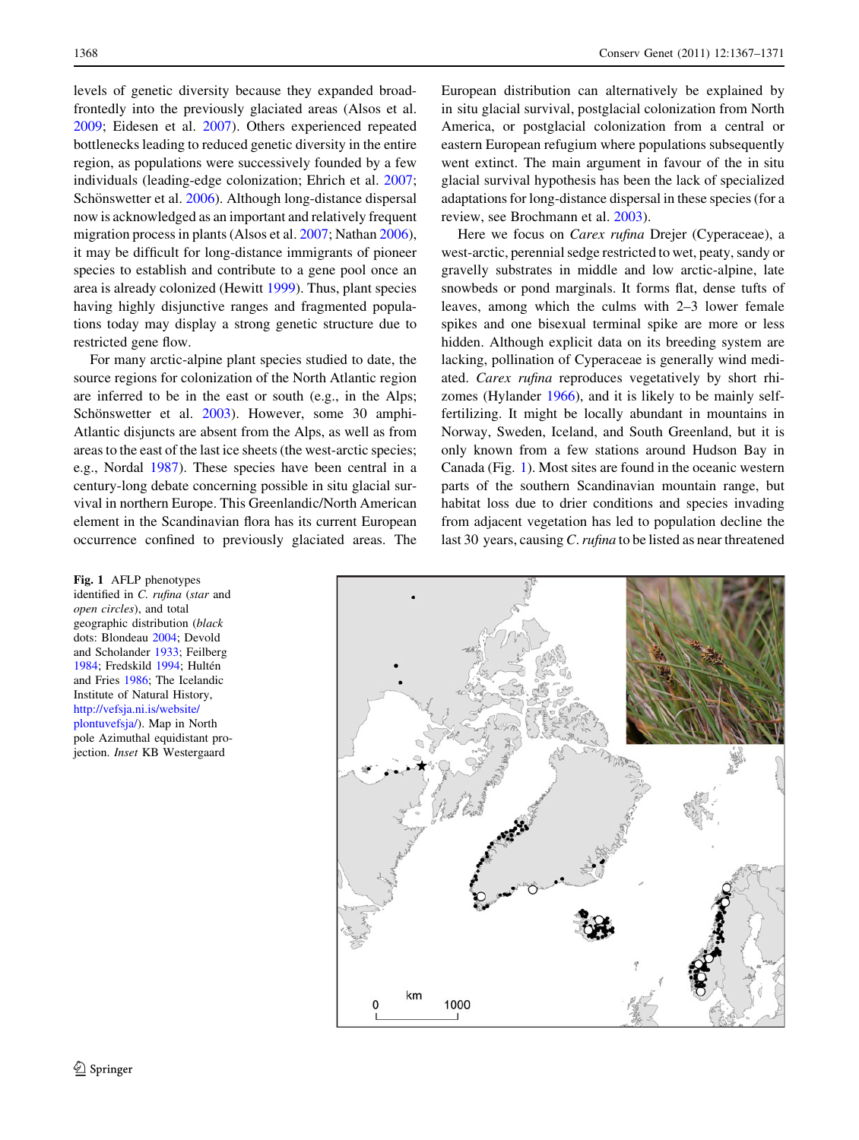levels of genetic diversity because they expanded broadfrontedly into the previously glaciated areas (Alsos et al. [2009;](#page-4-0) Eidesen et al. [2007\)](#page-4-0). Others experienced repeated bottlenecks leading to reduced genetic diversity in the entire region, as populations were successively founded by a few individuals (leading-edge colonization; Ehrich et al. [2007](#page-4-0); Schönswetter et al. [2006\)](#page-4-0). Although long-distance dispersal now is acknowledged as an important and relatively frequent migration process in plants (Alsos et al. [2007;](#page-4-0) Nathan [2006](#page-4-0)), it may be difficult for long-distance immigrants of pioneer species to establish and contribute to a gene pool once an area is already colonized (Hewitt [1999](#page-4-0)). Thus, plant species having highly disjunctive ranges and fragmented populations today may display a strong genetic structure due to restricted gene flow.

For many arctic-alpine plant species studied to date, the source regions for colonization of the North Atlantic region are inferred to be in the east or south (e.g., in the Alps; Schönswetter et al. [2003](#page-4-0)). However, some 30 amphi-Atlantic disjuncts are absent from the Alps, as well as from areas to the east of the last ice sheets (the west-arctic species; e.g., Nordal [1987\)](#page-4-0). These species have been central in a century-long debate concerning possible in situ glacial survival in northern Europe. This Greenlandic/North American element in the Scandinavian flora has its current European occurrence confined to previously glaciated areas. The

#### <span id="page-1-0"></span>1368 Conserv Genet (2011) 12:1367–1371

European distribution can alternatively be explained by in situ glacial survival, postglacial colonization from North America, or postglacial colonization from a central or eastern European refugium where populations subsequently went extinct. The main argument in favour of the in situ glacial survival hypothesis has been the lack of specialized adaptations for long-distance dispersal in these species (for a review, see Brochmann et al. [2003\)](#page-4-0).

Here we focus on *Carex rufina* Drejer (Cyperaceae), a west-arctic, perennial sedge restricted to wet, peaty, sandy or gravelly substrates in middle and low arctic-alpine, late snowbeds or pond marginals. It forms flat, dense tufts of leaves, among which the culms with 2–3 lower female spikes and one bisexual terminal spike are more or less hidden. Although explicit data on its breeding system are lacking, pollination of Cyperaceae is generally wind mediated. Carex rufina reproduces vegetatively by short rhizomes (Hylander [1966\)](#page-4-0), and it is likely to be mainly selffertilizing. It might be locally abundant in mountains in Norway, Sweden, Iceland, and South Greenland, but it is only known from a few stations around Hudson Bay in Canada (Fig. 1). Most sites are found in the oceanic western parts of the southern Scandinavian mountain range, but habitat loss due to drier conditions and species invading from adjacent vegetation has led to population decline the last 30 years, causing C. rufina to be listed as near threatened



Fig. 1 AFLP phenotypes identified in C. rufina (star and open circles), and total geographic distribution (black dots: Blondeau [2004;](#page-4-0) Devold and Scholander [1933](#page-4-0); Feilberg [1984;](#page-4-0) Fredskild [1994;](#page-4-0) Hultén and Fries [1986;](#page-4-0) The Icelandic Institute of Natural History, [http://vefsja.ni.is/website/](http://vefsja.ni.is/website/plontuvefsja/) [plontuvefsja/](http://vefsja.ni.is/website/plontuvefsja/)). Map in North pole Azimuthal equidistant projection. Inset KB Westergaard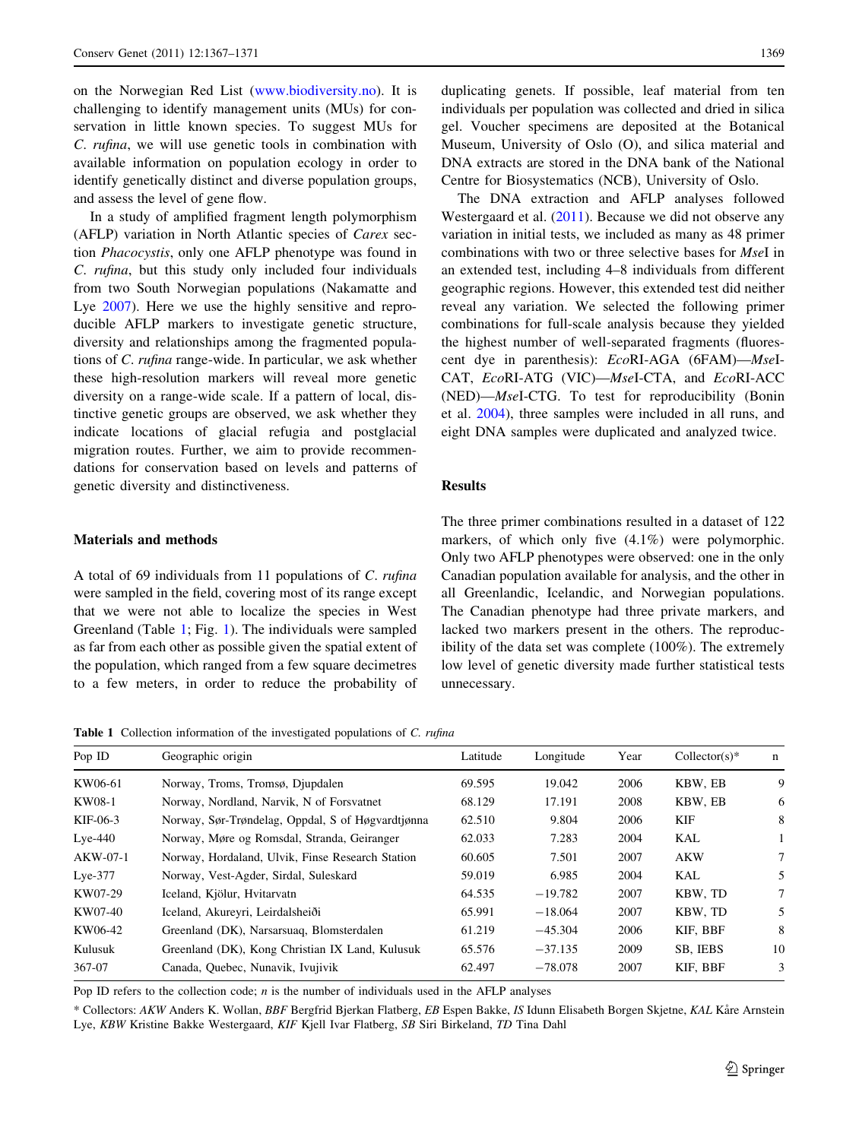on the Norwegian Red List ([www.biodiversity.no\)](http://www.biodiversity.no). It is challenging to identify management units (MUs) for conservation in little known species. To suggest MUs for C. rufina, we will use genetic tools in combination with available information on population ecology in order to identify genetically distinct and diverse population groups, and assess the level of gene flow.

In a study of amplified fragment length polymorphism (AFLP) variation in North Atlantic species of Carex section Phacocystis, only one AFLP phenotype was found in C. rufina, but this study only included four individuals from two South Norwegian populations (Nakamatte and Lye [2007](#page-4-0)). Here we use the highly sensitive and reproducible AFLP markers to investigate genetic structure, diversity and relationships among the fragmented populations of C. rufina range-wide. In particular, we ask whether these high-resolution markers will reveal more genetic diversity on a range-wide scale. If a pattern of local, distinctive genetic groups are observed, we ask whether they indicate locations of glacial refugia and postglacial migration routes. Further, we aim to provide recommendations for conservation based on levels and patterns of genetic diversity and distinctiveness.

# Materials and methods

A total of 69 individuals from 11 populations of C. rufina were sampled in the field, covering most of its range except that we were not able to localize the species in West Greenland (Table 1; Fig. [1\)](#page-1-0). The individuals were sampled as far from each other as possible given the spatial extent of the population, which ranged from a few square decimetres to a few meters, in order to reduce the probability of duplicating genets. If possible, leaf material from ten individuals per population was collected and dried in silica gel. Voucher specimens are deposited at the Botanical Museum, University of Oslo (O), and silica material and DNA extracts are stored in the DNA bank of the National Centre for Biosystematics (NCB), University of Oslo.

The DNA extraction and AFLP analyses followed Westergaard et al. ([2011\)](#page-4-0). Because we did not observe any variation in initial tests, we included as many as 48 primer combinations with two or three selective bases for MseI in an extended test, including 4–8 individuals from different geographic regions. However, this extended test did neither reveal any variation. We selected the following primer combinations for full-scale analysis because they yielded the highest number of well-separated fragments (fluorescent dye in parenthesis): EcoRI-AGA (6FAM)—MseI-CAT, EcoRI-ATG (VIC)—MseI-CTA, and EcoRI-ACC (NED)—MseI-CTG. To test for reproducibility (Bonin et al. [2004\)](#page-4-0), three samples were included in all runs, and eight DNA samples were duplicated and analyzed twice.

#### Results

The three primer combinations resulted in a dataset of 122 markers, of which only five (4.1%) were polymorphic. Only two AFLP phenotypes were observed: one in the only Canadian population available for analysis, and the other in all Greenlandic, Icelandic, and Norwegian populations. The Canadian phenotype had three private markers, and lacked two markers present in the others. The reproducibility of the data set was complete (100%). The extremely low level of genetic diversity made further statistical tests unnecessary.

Table 1 Collection information of the investigated populations of C. rufina

| Pop ID    | Geographic origin                                 | Latitude | Longitude | Year | $Collector(s)*$ | $\mathbf n$ |
|-----------|---------------------------------------------------|----------|-----------|------|-----------------|-------------|
| KW06-61   | Norway, Troms, Tromsø, Djupdalen                  | 69.595   | 19.042    | 2006 | KBW, EB         | 9           |
| KW08-1    | Norway, Nordland, Narvik, N of Forsvatnet         | 68.129   | 17.191    | 2008 | KBW, EB         | 6           |
| KIF-06-3  | Norway, Sør-Trøndelag, Oppdal, S of Høgvardtjønna | 62.510   | 9.804     | 2006 | KIF             | 8           |
| $Lye-440$ | Norway, Møre og Romsdal, Stranda, Geiranger       | 62.033   | 7.283     | 2004 | KAL             |             |
| AKW-07-1  | Norway, Hordaland, Ulvik, Finse Research Station  | 60.605   | 7.501     | 2007 | <b>AKW</b>      | 7           |
| $Lye-377$ | Norway, Vest-Agder, Sirdal, Suleskard             | 59.019   | 6.985     | 2004 | KAL             | 5           |
| KW07-29   | Iceland, Kjölur, Hvitarvatn                       | 64.535   | $-19.782$ | 2007 | KBW, TD         | 7           |
| KW07-40   | Iceland, Akureyri, Leirdalsheiði                  | 65.991   | $-18.064$ | 2007 | KBW, TD         | 5           |
| KW06-42   | Greenland (DK), Narsarsuag, Blomsterdalen         | 61.219   | $-45.304$ | 2006 | KIF, BBF        | 8           |
| Kulusuk   | Greenland (DK), Kong Christian IX Land, Kulusuk   | 65.576   | $-37.135$ | 2009 | SB. IEBS        | 10          |
| 367-07    | Canada, Quebec, Nunavik, Ivujivik                 | 62.497   | $-78.078$ | 2007 | KIF, BBF        | 3           |

Pop ID refers to the collection code; *n* is the number of individuals used in the AFLP analyses

\* Collectors: AKW Anders K. Wollan, BBF Bergfrid Bjerkan Flatberg, EB Espen Bakke, IS Idunn Elisabeth Borgen Skjetne, KAL Kåre Arnstein Lye, KBW Kristine Bakke Westergaard, KIF Kjell Ivar Flatberg, SB Siri Birkeland, TD Tina Dahl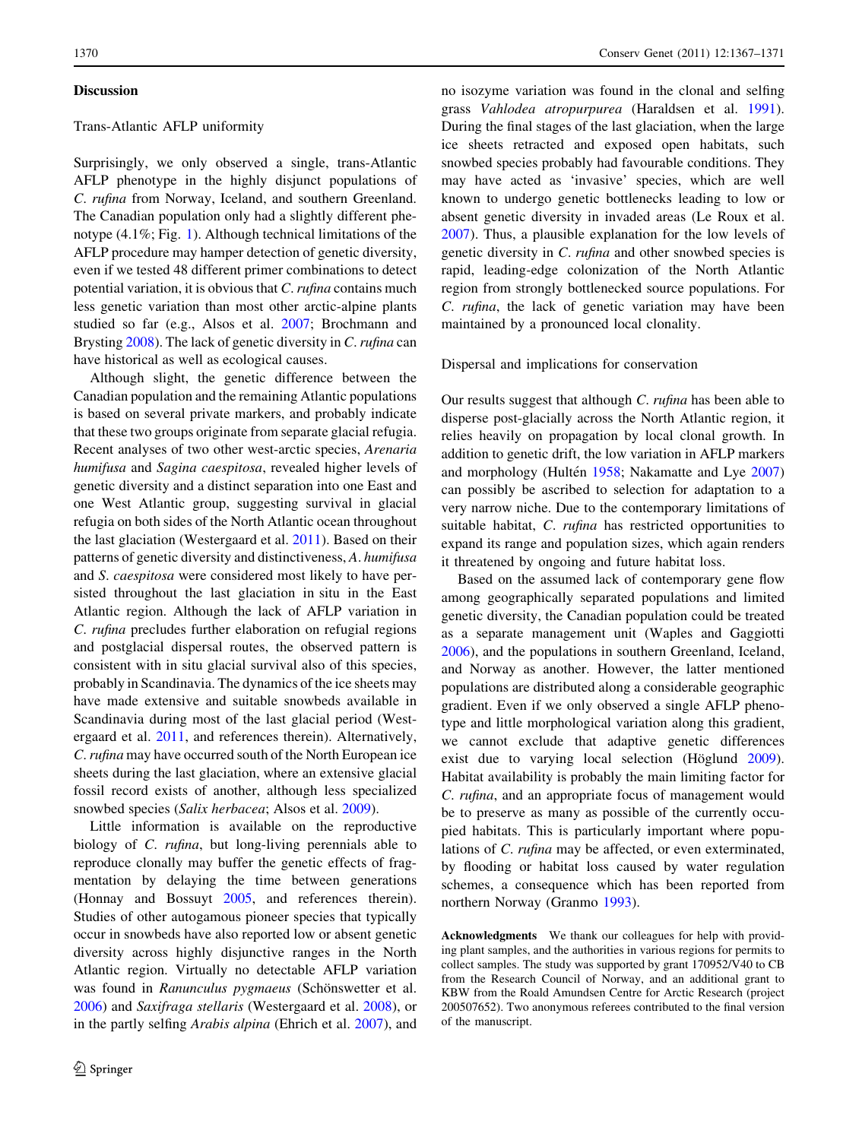#### **Discussion**

# Trans-Atlantic AFLP uniformity

Surprisingly, we only observed a single, trans-Atlantic AFLP phenotype in the highly disjunct populations of C. rufina from Norway, Iceland, and southern Greenland. The Canadian population only had a slightly different phenotype (4.1%; Fig. [1\)](#page-1-0). Although technical limitations of the AFLP procedure may hamper detection of genetic diversity, even if we tested 48 different primer combinations to detect potential variation, it is obvious that C. rufina contains much less genetic variation than most other arctic-alpine plants studied so far (e.g., Alsos et al. [2007](#page-4-0); Brochmann and Brysting [2008](#page-4-0)). The lack of genetic diversity in C. rufina can have historical as well as ecological causes.

Although slight, the genetic difference between the Canadian population and the remaining Atlantic populations is based on several private markers, and probably indicate that these two groups originate from separate glacial refugia. Recent analyses of two other west-arctic species, Arenaria humifusa and Sagina caespitosa, revealed higher levels of genetic diversity and a distinct separation into one East and one West Atlantic group, suggesting survival in glacial refugia on both sides of the North Atlantic ocean throughout the last glaciation (Westergaard et al. [2011\)](#page-4-0). Based on their patterns of genetic diversity and distinctiveness, A. humifusa and S. caespitosa were considered most likely to have persisted throughout the last glaciation in situ in the East Atlantic region. Although the lack of AFLP variation in C. rufina precludes further elaboration on refugial regions and postglacial dispersal routes, the observed pattern is consistent with in situ glacial survival also of this species, probably in Scandinavia. The dynamics of the ice sheets may have made extensive and suitable snowbeds available in Scandinavia during most of the last glacial period (Westergaard et al. [2011](#page-4-0), and references therein). Alternatively, C.rufina may have occurred south of the North European ice sheets during the last glaciation, where an extensive glacial fossil record exists of another, although less specialized snowbed species (Salix herbacea; Alsos et al. [2009](#page-4-0)).

Little information is available on the reproductive biology of *C. rufina*, but long-living perennials able to reproduce clonally may buffer the genetic effects of fragmentation by delaying the time between generations (Honnay and Bossuyt [2005,](#page-4-0) and references therein). Studies of other autogamous pioneer species that typically occur in snowbeds have also reported low or absent genetic diversity across highly disjunctive ranges in the North Atlantic region. Virtually no detectable AFLP variation was found in Ranunculus pygmaeus (Schönswetter et al. [2006\)](#page-4-0) and Saxifraga stellaris (Westergaard et al. [2008\)](#page-4-0), or in the partly selfing Arabis alpina (Ehrich et al. [2007](#page-4-0)), and no isozyme variation was found in the clonal and selfing grass Vahlodea atropurpurea (Haraldsen et al. [1991](#page-4-0)). During the final stages of the last glaciation, when the large ice sheets retracted and exposed open habitats, such snowbed species probably had favourable conditions. They may have acted as 'invasive' species, which are well known to undergo genetic bottlenecks leading to low or absent genetic diversity in invaded areas (Le Roux et al. [2007](#page-4-0)). Thus, a plausible explanation for the low levels of genetic diversity in C. rufina and other snowbed species is rapid, leading-edge colonization of the North Atlantic region from strongly bottlenecked source populations. For C. rufina, the lack of genetic variation may have been maintained by a pronounced local clonality.

#### Dispersal and implications for conservation

Our results suggest that although C. rufina has been able to disperse post-glacially across the North Atlantic region, it relies heavily on propagation by local clonal growth. In addition to genetic drift, the low variation in AFLP markers and morphology (Hultén  $1958$ ; Nakamatte and Lye  $2007$ ) can possibly be ascribed to selection for adaptation to a very narrow niche. Due to the contemporary limitations of suitable habitat, C. rufina has restricted opportunities to expand its range and population sizes, which again renders it threatened by ongoing and future habitat loss.

Based on the assumed lack of contemporary gene flow among geographically separated populations and limited genetic diversity, the Canadian population could be treated as a separate management unit (Waples and Gaggiotti [2006](#page-4-0)), and the populations in southern Greenland, Iceland, and Norway as another. However, the latter mentioned populations are distributed along a considerable geographic gradient. Even if we only observed a single AFLP phenotype and little morphological variation along this gradient, we cannot exclude that adaptive genetic differences exist due to varying local selection (Höglund  $2009$ ). Habitat availability is probably the main limiting factor for C. rufina, and an appropriate focus of management would be to preserve as many as possible of the currently occupied habitats. This is particularly important where populations of C. rufina may be affected, or even exterminated, by flooding or habitat loss caused by water regulation schemes, a consequence which has been reported from northern Norway (Granmo [1993](#page-4-0)).

Acknowledgments We thank our colleagues for help with providing plant samples, and the authorities in various regions for permits to collect samples. The study was supported by grant 170952/V40 to CB from the Research Council of Norway, and an additional grant to KBW from the Roald Amundsen Centre for Arctic Research (project 200507652). Two anonymous referees contributed to the final version of the manuscript.